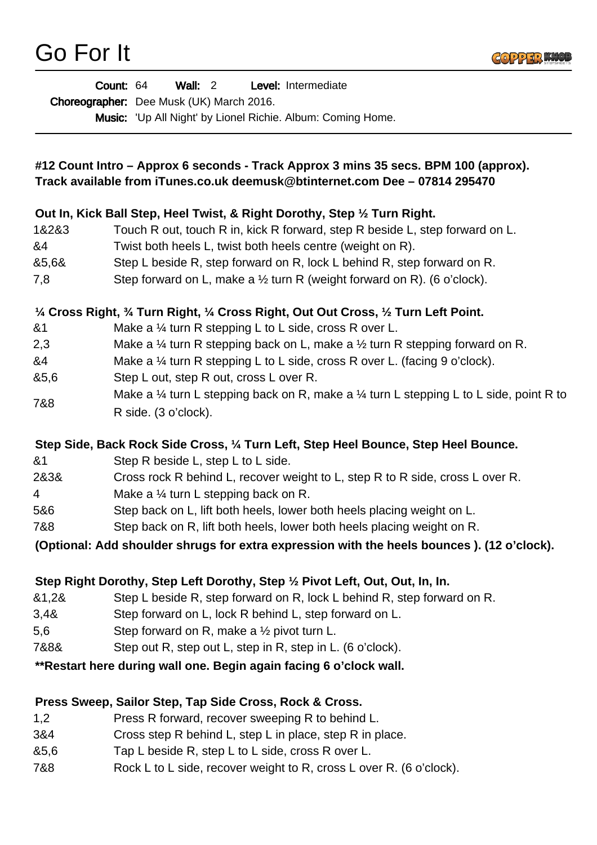

|                | Count: 64<br>Wall: $2$<br>Level: Intermediate                                                                                                                      |
|----------------|--------------------------------------------------------------------------------------------------------------------------------------------------------------------|
|                | Choreographer: Dee Musk (UK) March 2016.                                                                                                                           |
|                | Music: 'Up All Night' by Lionel Richie. Album: Coming Home.                                                                                                        |
|                | #12 Count Intro - Approx 6 seconds - Track Approx 3 mins 35 secs. BPM 100 (approx).<br>Track available from iTunes.co.uk deemusk@btinternet.com Dee - 07814 295470 |
|                |                                                                                                                                                                    |
|                | Out In, Kick Ball Step, Heel Twist, & Right Dorothy, Step 1/2 Turn Right.                                                                                          |
| 1&2&3          | Touch R out, touch R in, kick R forward, step R beside L, step forward on L.                                                                                       |
| &4             | Twist both heels L, twist both heels centre (weight on R).                                                                                                         |
| &5,6&          | Step L beside R, step forward on R, lock L behind R, step forward on R.                                                                                            |
| 7,8            | Step forward on L, make a $\frac{1}{2}$ turn R (weight forward on R). (6 o'clock).                                                                                 |
|                | 1/4 Cross Right, 3/4 Turn Right, 1/4 Cross Right, Out Out Cross, 1/2 Turn Left Point.                                                                              |
| &1             | Make a $\frac{1}{4}$ turn R stepping L to L side, cross R over L.                                                                                                  |
| 2,3            | Make a $\frac{1}{4}$ turn R stepping back on L, make a $\frac{1}{2}$ turn R stepping forward on R.                                                                 |
| &4             | Make a $\frac{1}{4}$ turn R stepping L to L side, cross R over L. (facing 9 o'clock).                                                                              |
| &5,6           | Step L out, step R out, cross L over R.                                                                                                                            |
| 7&8            | Make a $\frac{1}{4}$ turn L stepping back on R, make a $\frac{1}{4}$ turn L stepping L to L side, point R to                                                       |
|                | R side. (3 o'clock).                                                                                                                                               |
|                | Step Side, Back Rock Side Cross, 1/4 Turn Left, Step Heel Bounce, Step Heel Bounce.                                                                                |
| &1             | Step R beside L, step L to L side.                                                                                                                                 |
| 2&3&           | Cross rock R behind L, recover weight to L, step R to R side, cross L over R.                                                                                      |
| 4              | Make a $\frac{1}{4}$ turn L stepping back on R.                                                                                                                    |
| 5&6            | Step back on L, lift both heels, lower both heels placing weight on L.                                                                                             |
| 7&8            | Step back on R, lift both heels, lower both heels placing weight on R.                                                                                             |
|                | (Optional: Add shoulder shrugs for extra expression with the heels bounces). (12 o'clock).                                                                         |
|                |                                                                                                                                                                    |
|                | Step Right Dorothy, Step Left Dorothy, Step 1/2 Pivot Left, Out, Out, In, In.                                                                                      |
| &1,2&          | Step L beside R, step forward on R, lock L behind R, step forward on R.                                                                                            |
| 3,4&<br>5,6    | Step forward on L, lock R behind L, step forward on L.                                                                                                             |
| 7&8&           | Step forward on R, make a $\frac{1}{2}$ pivot turn L.                                                                                                              |
|                | Step out R, step out L, step in R, step in L. (6 o'clock).                                                                                                         |
|                | **Restart here during wall one. Begin again facing 6 o'clock wall.                                                                                                 |
|                | Press Sweep, Sailor Step, Tap Side Cross, Rock & Cross.                                                                                                            |
| $\overline{1}$ | <b>Drogo D</b> forward recover queening <b>D</b> to behind L                                                                                                       |

- 1,2 Press R forward, recover sweeping R to behind L.
- 3&4 Cross step R behind L, step L in place, step R in place.
- &5,6 Tap L beside R, step L to L side, cross R over L.
- 7&8 Rock L to L side, recover weight to R, cross L over R. (6 o'clock).